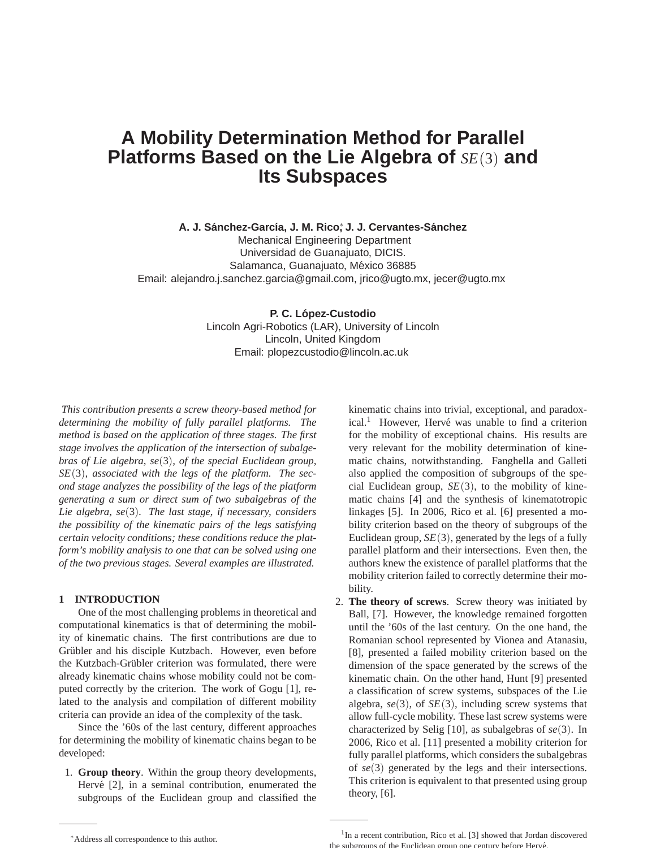# **A Mobility Determination Method for Parallel Platforms Based on the Lie Algebra of** *SE*(3) **and Its Subspaces**

**A. J. Sanchez-Garc´ıa, J. M. Rico ´** ∗ **, J. J. Cervantes-Sanchez ´**

Mechanical Engineering Department Universidad de Guanajuato, DICIS. Salamanca, Guanajuato, México 36885 Email: alejandro.j.sanchez.garcia@gmail.com, jrico@ugto.mx, jecer@ugto.mx

#### **P. C. Lopez-Custodio ´**

Lincoln Agri-Robotics (LAR), University of Lincoln Lincoln, United Kingdom Email: plopezcustodio@lincoln.ac.uk

*This contribution presents a screw theory-based method for determining the mobility of fully parallel platforms. The method is based on the application of three stages. The first stage involves the application of the intersection of subalgebras of Lie algebra, se*(3)*, of the special Euclidean group, SE*(3)*, associated with the legs of the platform. The second stage analyzes the possibility of the legs of the platform generating a sum or direct sum of two subalgebras of the Lie algebra, se*(3)*. The last stage, if necessary, considers the possibility of the kinematic pairs of the legs satisfying certain velocity conditions; these conditions reduce the platform's mobility analysis to one that can be solved using one of the two previous stages. Several examples are illustrated.*

# **1 INTRODUCTION**

One of the most challenging problems in theoretical and computational kinematics is that of determining the mobility of kinematic chains. The first contributions are due to Grübler and his disciple Kutzbach. However, even before the Kutzbach-Grübler criterion was formulated, there were already kinematic chains whose mobility could not be computed correctly by the criterion. The work of Gogu [1], related to the analysis and compilation of different mobility criteria can provide an idea of the complexity of the task.

Since the '60s of the last century, different approaches for determining the mobility of kinematic chains began to be developed:

1. **Group theory**. Within the group theory developments, Hervé  $[2]$ , in a seminal contribution, enumerated the subgroups of the Euclidean group and classified the kinematic chains into trivial, exceptional, and paradoxical.<sup>1</sup> However, Hervé was unable to find a criterion for the mobility of exceptional chains. His results are very relevant for the mobility determination of kinematic chains, notwithstanding. Fanghella and Galleti also applied the composition of subgroups of the special Euclidean group,  $SE(3)$ , to the mobility of kinematic chains [4] and the synthesis of kinematotropic linkages [5]. In 2006, Rico et al. [6] presented a mobility criterion based on the theory of subgroups of the Euclidean group,  $SE(3)$ , generated by the legs of a fully parallel platform and their intersections. Even then, the authors knew the existence of parallel platforms that the mobility criterion failed to correctly determine their mobility.

2. **The theory of screws**. Screw theory was initiated by Ball, [7]. However, the knowledge remained forgotten until the '60s of the last century. On the one hand, the Romanian school represented by Vionea and Atanasiu, [8], presented a failed mobility criterion based on the dimension of the space generated by the screws of the kinematic chain. On the other hand, Hunt [9] presented a classification of screw systems, subspaces of the Lie algebra,  $se(3)$ , of  $SE(3)$ , including screw systems that allow full-cycle mobility. These last screw systems were characterized by Selig [10], as subalgebras of *se*(3). In 2006, Rico et al. [11] presented a mobility criterion for fully parallel platforms, which considers the subalgebras of *se*(3) generated by the legs and their intersections. This criterion is equivalent to that presented using group theory, [6].

<sup>∗</sup>Address all correspondence to this author.

<sup>&</sup>lt;sup>1</sup>In a recent contribution, Rico et al. [3] showed that Jordan discovered the subgroups of the Euclidean group one century before Hervé.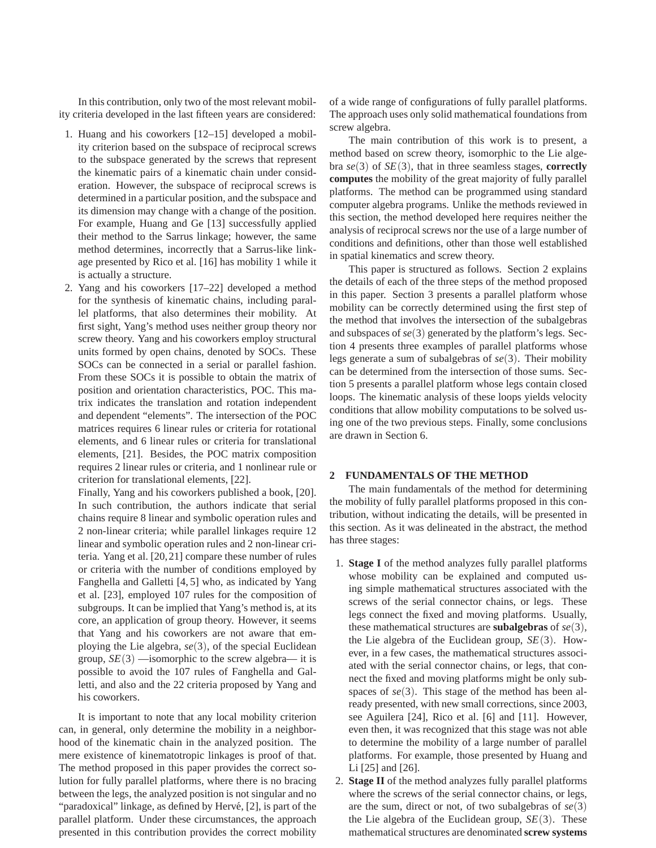In this contribution, only two of the most relevant mobility criteria developed in the last fifteen years are considered:

- 1. Huang and his coworkers [12–15] developed a mobility criterion based on the subspace of reciprocal screws to the subspace generated by the screws that represent the kinematic pairs of a kinematic chain under consideration. However, the subspace of reciprocal screws is determined in a particular position, and the subspace and its dimension may change with a change of the position. For example, Huang and Ge [13] successfully applied their method to the Sarrus linkage; however, the same method determines, incorrectly that a Sarrus-like linkage presented by Rico et al. [16] has mobility 1 while it is actually a structure.
- 2. Yang and his coworkers [17–22] developed a method for the synthesis of kinematic chains, including parallel platforms, that also determines their mobility. At first sight, Yang's method uses neither group theory nor screw theory. Yang and his coworkers employ structural units formed by open chains, denoted by SOCs. These SOCs can be connected in a serial or parallel fashion. From these SOCs it is possible to obtain the matrix of position and orientation characteristics, POC. This matrix indicates the translation and rotation independent and dependent "elements". The intersection of the POC matrices requires 6 linear rules or criteria for rotational elements, and 6 linear rules or criteria for translational elements, [21]. Besides, the POC matrix composition requires 2 linear rules or criteria, and 1 nonlinear rule or criterion for translational elements, [22].

Finally, Yang and his coworkers published a book, [20]. In such contribution, the authors indicate that serial chains require 8 linear and symbolic operation rules and 2 non-linear criteria; while parallel linkages require 12 linear and symbolic operation rules and 2 non-linear criteria. Yang et al. [20,21] compare these number of rules or criteria with the number of conditions employed by Fanghella and Galletti [4, 5] who, as indicated by Yang et al. [23], employed 107 rules for the composition of subgroups. It can be implied that Yang's method is, at its core, an application of group theory. However, it seems that Yang and his coworkers are not aware that employing the Lie algebra, *se*(3), of the special Euclidean group,  $SE(3)$  —isomorphic to the screw algebra— it is possible to avoid the 107 rules of Fanghella and Galletti, and also and the 22 criteria proposed by Yang and his coworkers.

It is important to note that any local mobility criterion can, in general, only determine the mobility in a neighborhood of the kinematic chain in the analyzed position. The mere existence of kinematotropic linkages is proof of that. The method proposed in this paper provides the correct solution for fully parallel platforms, where there is no bracing between the legs, the analyzed position is not singular and no "paradoxical" linkage, as defined by Hervé, [2], is part of the parallel platform. Under these circumstances, the approach presented in this contribution provides the correct mobility of a wide range of configurations of fully parallel platforms. The approach uses only solid mathematical foundations from screw algebra.

The main contribution of this work is to present, a method based on screw theory, isomorphic to the Lie algebra *se*(3) of *SE*(3), that in three seamless stages, **correctly computes** the mobility of the great majority of fully parallel platforms. The method can be programmed using standard computer algebra programs. Unlike the methods reviewed in this section, the method developed here requires neither the analysis of reciprocal screws nor the use of a large number of conditions and definitions, other than those well established in spatial kinematics and screw theory.

This paper is structured as follows. Section 2 explains the details of each of the three steps of the method proposed in this paper. Section 3 presents a parallel platform whose mobility can be correctly determined using the first step of the method that involves the intersection of the subalgebras and subspaces of *se*(3) generated by the platform's legs. Section 4 presents three examples of parallel platforms whose legs generate a sum of subalgebras of *se*(3). Their mobility can be determined from the intersection of those sums. Section 5 presents a parallel platform whose legs contain closed loops. The kinematic analysis of these loops yields velocity conditions that allow mobility computations to be solved using one of the two previous steps. Finally, some conclusions are drawn in Section 6.

## **2 FUNDAMENTALS OF THE METHOD**

The main fundamentals of the method for determining the mobility of fully parallel platforms proposed in this contribution, without indicating the details, will be presented in this section. As it was delineated in the abstract, the method has three stages:

- 1. **Stage I** of the method analyzes fully parallel platforms whose mobility can be explained and computed using simple mathematical structures associated with the screws of the serial connector chains, or legs. These legs connect the fixed and moving platforms. Usually, these mathematical structures are **subalgebras** of *se*(3), the Lie algebra of the Euclidean group, *SE*(3). However, in a few cases, the mathematical structures associated with the serial connector chains, or legs, that connect the fixed and moving platforms might be only subspaces of *se*(3). This stage of the method has been already presented, with new small corrections, since 2003, see Aguilera [24], Rico et al. [6] and [11]. However, even then, it was recognized that this stage was not able to determine the mobility of a large number of parallel platforms. For example, those presented by Huang and Li [25] and [26].
- 2. **Stage II** of the method analyzes fully parallel platforms where the screws of the serial connector chains, or legs, are the sum, direct or not, of two subalgebras of *se*(3) the Lie algebra of the Euclidean group,  $SE(3)$ . These mathematical structures are denominated **screw systems**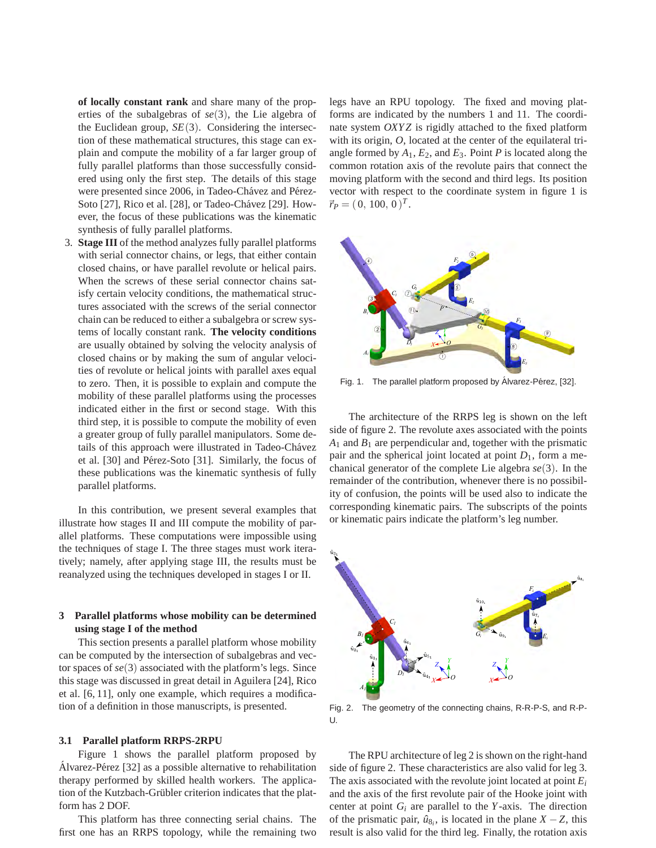**of locally constant rank** and share many of the properties of the subalgebras of *se*(3), the Lie algebra of the Euclidean group,  $SE(3)$ . Considering the intersection of these mathematical structures, this stage can explain and compute the mobility of a far larger group of fully parallel platforms than those successfully considered using only the first step. The details of this stage were presented since 2006, in Tadeo-Chavez and Pérez-Soto [27], Rico et al. [28], or Tadeo-Chávez [29]. However, the focus of these publications was the kinematic synthesis of fully parallel platforms.

3. **Stage III** of the method analyzes fully parallel platforms with serial connector chains, or legs, that either contain closed chains, or have parallel revolute or helical pairs. When the screws of these serial connector chains satisfy certain velocity conditions, the mathematical structures associated with the screws of the serial connector chain can be reduced to either a subalgebra or screw systems of locally constant rank. **The velocity conditions** are usually obtained by solving the velocity analysis of closed chains or by making the sum of angular velocities of revolute or helical joints with parallel axes equal to zero. Then, it is possible to explain and compute the mobility of these parallel platforms using the processes indicated either in the first or second stage. With this third step, it is possible to compute the mobility of even a greater group of fully parallel manipulators. Some details of this approach were illustrated in Tadeo-Chávez et al. [30] and Pérez-Soto [31]. Similarly, the focus of these publications was the kinematic synthesis of fully parallel platforms.

In this contribution, we present several examples that illustrate how stages II and III compute the mobility of parallel platforms. These computations were impossible using the techniques of stage I. The three stages must work iteratively; namely, after applying stage III, the results must be reanalyzed using the techniques developed in stages I or II.

# **3 Parallel platforms whose mobility can be determined using stage I of the method**

This section presents a parallel platform whose mobility can be computed by the intersection of subalgebras and vector spaces of *se*(3) associated with the platform's legs. Since this stage was discussed in great detail in Aguilera [24], Rico et al. [6, 11], only one example, which requires a modification of a definition in those manuscripts, is presented.

#### **3.1 Parallel platform RRPS-2RPU**

Figure 1 shows the parallel platform proposed by Alvarez-Pérez [32] as a possible alternative to rehabilitation therapy performed by skilled health workers. The application of the Kutzbach-Grübler criterion indicates that the platform has 2 DOF.

This platform has three connecting serial chains. The first one has an RRPS topology, while the remaining two

legs have an RPU topology. The fixed and moving platforms are indicated by the numbers 1 and 11. The coordinate system *OXYZ* is rigidly attached to the fixed platform with its origin, *O*, located at the center of the equilateral triangle formed by  $A_1$ ,  $E_2$ , and  $E_3$ . Point  $P$  is located along the common rotation axis of the revolute pairs that connect the moving platform with the second and third legs. Its position vector with respect to the coordinate system in figure 1 is  $\vec{r}_P = (0, 100, 0)^T.$ 



Fig. 1. The parallel platform proposed by Álvarez-Pérez, [32].

The architecture of the RRPS leg is shown on the left side of figure 2. The revolute axes associated with the points  $A_1$  and  $B_1$  are perpendicular and, together with the prismatic pair and the spherical joint located at point *D*1, form a mechanical generator of the complete Lie algebra *se*(3). In the remainder of the contribution, whenever there is no possibility of confusion, the points will be used also to indicate the corresponding kinematic pairs. The subscripts of the points or kinematic pairs indicate the platform's leg number.



Fig. 2. The geometry of the connecting chains, R-R-P-S, and R-P-U.

The RPU architecture of leg 2 is shown on the right-hand side of figure 2. These characteristics are also valid for leg 3. The axis associated with the revolute joint located at point *E<sup>i</sup>* and the axis of the first revolute pair of the Hooke joint with center at point  $G_i$  are parallel to the *Y*-axis. The direction of the prismatic pair,  $\hat{u}_{8_i}$ , is located in the plane *X* − *Z*, this result is also valid for the third leg. Finally, the rotation axis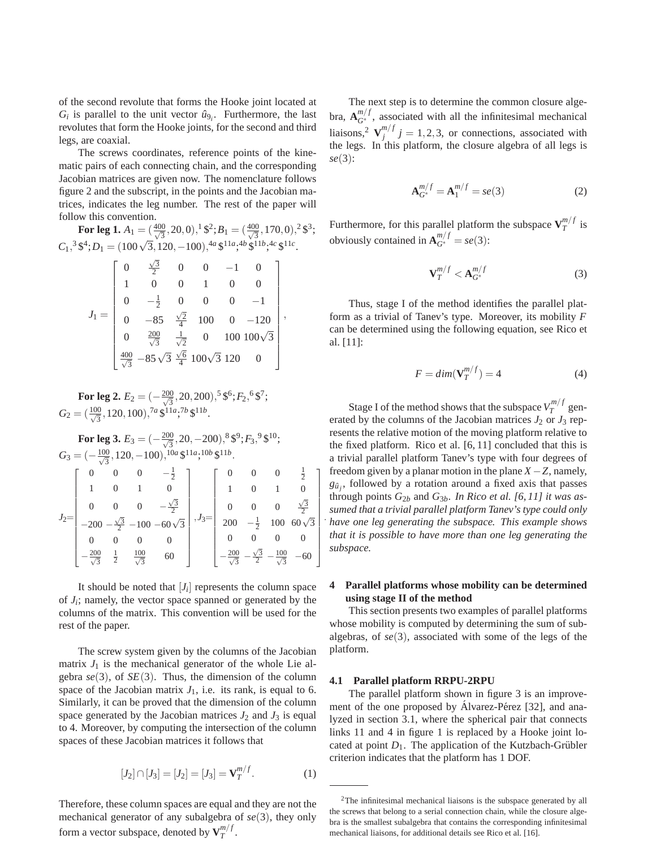of the second revolute that forms the Hooke joint located at  $G_i$  is parallel to the unit vector  $\hat{u}_{9_i}$ . Furthermore, the last revolutes that form the Hooke joints, for the second and third legs, are coaxial.

The screws coordinates, reference points of the kinematic pairs of each connecting chain, and the corresponding Jacobian matrices are given now. The nomenclature follows figure 2 and the subscript, in the points and the Jacobian matrices, indicates the leg number. The rest of the paper will follow this convention.

3 ;

1

 .

For leg 1. 
$$
A_1 = (\frac{400}{\sqrt{3}}, 20, 0), ^1\frac{6}{3}, B_1 = (\frac{400}{\sqrt{3}}, 170, 0), ^2\frac{6}{3}
$$
  
\n $C_1, ^3\frac{64}{3}; D_1 = (100\sqrt{3}, 120, -100), ^{4a}\frac{6}{3}^{11a}, ^{4b}\frac{6}{3}^{11b}, ^{4c}\frac{6}{3}^{11c}$   
\n
$$
\begin{bmatrix}\n0 & \frac{\sqrt{3}}{2} & 0 & 0 & -1 & 0 \\
1 & 0 & 0 & 1 & 0 & 0 \\
0 & -\frac{1}{2} & 0 & 0 & 0 & -1 \\
0 & -85 & \frac{\sqrt{2}}{4} & 100 & 0 & -120 \\
0 & \frac{200}{\sqrt{3}} & \frac{1}{\sqrt{2}} & 0 & 100 & 100\sqrt{3} \\
\frac{400}{\sqrt{3}} & -85\sqrt{3} & \frac{\sqrt{6}}{4} & 100\sqrt{3} & 120 & 0\n\end{bmatrix},
$$

**For leg 2.**  $E_2 = (-\frac{200}{\sqrt{3}}, 20, 200), ^5$  \$<sup>6</sup>;  $F_2$ , <sup>6</sup> \$<sup>7</sup>;  $G_2 = (\frac{100}{\sqrt{3}}, 120, 100),$ <sup>7*a*</sup> \$<sup>11*a*</sup>;<sup>7*b*</sup> \$<sup>11*b*</sup>.

**For leg 3.**  $E_3 = (-\frac{200}{\sqrt{3}}, 20, -200), ^8 \$^9; F_3, ^9 \$^{10};$  $G_3 = \left(-\frac{100}{\sqrt{3}}, 120, -100\right), \frac{10a \cancel{3}^{11a}}{10b \cancel{3}^{11b}}.$  $J_2=$  $\sqrt{ }$  0 0 0  $-\frac{1}{2}$ 1 0 1 0 0 0 0  $-\frac{\sqrt{3}}{2}$  $-200 - \frac{\sqrt{3}}{2} - 100 - 60\sqrt{3}$ 0 0 0 0  $-\frac{200}{\sqrt{3}}$  $\frac{1}{2}$   $\frac{100}{\sqrt{3}}$  60 1  $, J_3=$ f 0 0 0  $\frac{1}{2}$ 1 0 1 0 0 0 0  $\frac{\sqrt{3}}{2}$ 200  $-\frac{1}{2}$  100 60 $\sqrt{3}$ 0 0 0 0  $-\frac{200}{\sqrt{3}}$  –  $\frac{\sqrt{3}}{2}$  -  $\frac{100}{\sqrt{3}}$  - 60

It should be noted that  $[J_i]$  represents the column space of  $J_i$ ; namely, the vector space spanned or generated by the columns of the matrix. This convention will be used for the rest of the paper.

The screw system given by the columns of the Jacobian matrix  $J_1$  is the mechanical generator of the whole Lie algebra  $se(3)$ , of  $SE(3)$ . Thus, the dimension of the column space of the Jacobian matrix  $J_1$ , i.e. its rank, is equal to 6. Similarly, it can be proved that the dimension of the column space generated by the Jacobian matrices  $J_2$  and  $J_3$  is equal to 4. Moreover, by computing the intersection of the column spaces of these Jacobian matrices it follows that

$$
[J_2] \cap [J_3] = [J_2] = [J_3] = \mathbf{V}_T^{m/f}.
$$
 (1)

Therefore, these column spaces are equal and they are not the mechanical generator of any subalgebra of *se*(3), they only form a vector subspace, denoted by  $\mathbf{V}^{m/f}_T$ *T* .

The next step is to determine the common closure algebra,  $A_{G^*}^{m/f}$ , associated with all the infinitesimal mechanical liaisons,<sup>2</sup>  $\mathbf{V}^{m/f}_i$  $j_j^{m_j} j = 1, 2, 3$ , or connections, associated with the legs. In this platform, the closure algebra of all legs is *se*(3):

$$
\mathbf{A}_{G^*}^{m/f} = \mathbf{A}_1^{m/f} = se(3) \tag{2}
$$

Furthermore, for this parallel platform the subspace  $V_T^{m/f}$  $T^{m/J}$  is obviously contained in  $\mathbf{A}_{G^*}^{m/f} = se(3)$ :

$$
\mathbf{V}_T^{m/f} < \mathbf{A}_{G^*}^{m/f} \tag{3}
$$

Thus, stage I of the method identifies the parallel platform as a trivial of Tanev's type. Moreover, its mobility *F* can be determined using the following equation, see Rico et al. [11]:

$$
F = dim(\mathbf{V}_T^{m/f}) = 4
$$
 (4)

Stage I of the method shows that the subspace  $V_T^{m/f}$  $T^{m/J}$  generated by the columns of the Jacobian matrices  $J_2$  or  $J_3$  represents the relative motion of the moving platform relative to the fixed platform. Rico et al. [6, 11] concluded that this is a trivial parallel platform Tanev's type with four degrees of freedom given by a planar motion in the plane  $X - Z$ , namely,  $g_{\hat{u}_j}$ , followed by a rotation around a fixed axis that passes through points  $G_{2b}$  and  $G_{3b}$ . *In Rico et al.* [6, 11] it was as*sumed that a trivial parallel platform Tanev's type could only have one leg generating the subspace. This example shows that it is possible to have more than one leg generating the subspace.*

## **4 Parallel platforms whose mobility can be determined using stage II of the method**

This section presents two examples of parallel platforms whose mobility is computed by determining the sum of subalgebras, of *se*(3), associated with some of the legs of the platform.

#### **4.1 Parallel platform RRPU-2RPU**

The parallel platform shown in figure 3 is an improvement of the one proposed by Álvarez-Pérez [32], and analyzed in section 3.1, where the spherical pair that connects links 11 and 4 in figure 1 is replaced by a Hooke joint located at point  $D_1$ . The application of the Kutzbach-Grübler criterion indicates that the platform has 1 DOF.

<sup>&</sup>lt;sup>2</sup>The infinitesimal mechanical liaisons is the subspace generated by all the screws that belong to a serial connection chain, while the closure algebra is the smallest subalgebra that contains the corresponding infinitesimal mechanical liaisons, for additional details see Rico et al. [16].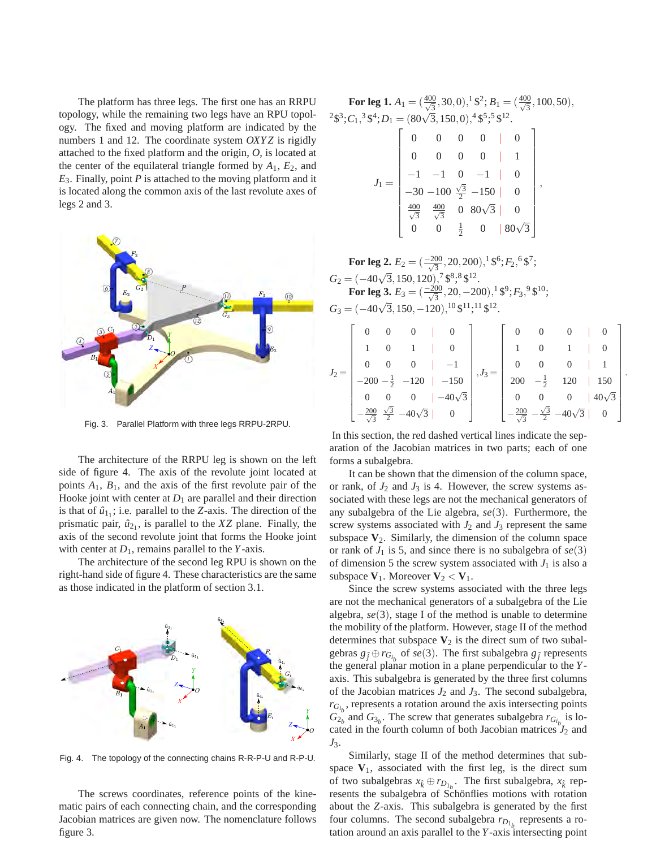The platform has three legs. The first one has an RRPU topology, while the remaining two legs have an RPU topology. The fixed and moving platform are indicated by the numbers 1 and 12. The coordinate system *OXYZ* is rigidly attached to the fixed platform and the origin, *O*, is located at the center of the equilateral triangle formed by  $A_1$ ,  $E_2$ , and *E*3. Finally, point *P* is attached to the moving platform and it is located along the common axis of the last revolute axes of legs 2 and 3.



Fig. 3. Parallel Platform with three legs RRPU-2RPU.

The architecture of the RRPU leg is shown on the left side of figure 4. The axis of the revolute joint located at points *A*1, *B*1, and the axis of the first revolute pair of the Hooke joint with center at  $D_1$  are parallel and their direction is that of  $\hat{u}_{1}$ ; i.e. parallel to the *Z*-axis. The direction of the prismatic pair,  $\hat{u}_{2_1}$ , is parallel to the *XZ* plane. Finally, the axis of the second revolute joint that forms the Hooke joint with center at  $D_1$ , remains parallel to the *Y*-axis.

The architecture of the second leg RPU is shown on the right-hand side of figure 4. These characteristics are the same as those indicated in the platform of section 3.1.



Fig. 4. The topology of the connecting chains R-R-P-U and R-P-U.

The screws coordinates, reference points of the kinematic pairs of each connecting chain, and the corresponding Jacobian matrices are given now. The nomenclature follows figure 3.

**For leg 1.**  $A_1 = (\frac{400}{\sqrt{3}}, 30, 0), ^1$  \$<sup>2</sup>;  $B_1 = (\frac{400}{\sqrt{3}}, 100, 50),$  $^{2}\$^{3};C_{1},^{3}\$^{4};D_{1}=(80\sqrt{3},150,0),^{4}\$^{5};^{5}\$^{12}.$ 

|  |     |            |               | $-100 \frac{\sqrt{3}}{2} -150$<br>$\frac{400}{\sqrt{3}}$ 0 80 $\sqrt{3}$ |               |  |
|--|-----|------------|---------------|--------------------------------------------------------------------------|---------------|--|
|  | 400 | $\sqrt{3}$ |               |                                                                          |               |  |
|  |     |            | $\frac{1}{2}$ |                                                                          | $\mathcal{R}$ |  |

**For leg 2.**  $E_2 = (\frac{-200}{\sqrt{3}})$  $\frac{00}{3}$ , 20, 200),<sup>1</sup> \$<sup>6</sup>;  $F_2$ , <sup>6</sup> \$<sup>7</sup>;  $G_2 = (-40\sqrt{3}, 150, 120), ^{0.95}$ <br>  $G_2 = 0.40$ **For leg 3.**  $E_3 = (\frac{-200}{\sqrt{3}})$  $\frac{00}{3}$ , 20, -200),<sup>1</sup> \$<sup>9</sup>;  $F_3$ , <sup>9</sup> \$<sup>10</sup>;  $G_3 = (-40\sqrt{3}, 150, -120), ^{10}$ \$<sup>11</sup>;<sup>11</sup>\$<sup>12</sup>.

|  | $0 \qquad 0 \qquad \qquad 0$                                  |                 |  |                                                            | $0 \mid 0$                   |
|--|---------------------------------------------------------------|-----------------|--|------------------------------------------------------------|------------------------------|
|  |                                                               | $\overline{0}$  |  | $1 \quad \Box$                                             |                              |
|  |                                                               |                 |  |                                                            |                              |
|  | 0 0 0   -1<br>-200 - $\frac{1}{2}$ -120   -150                |                 |  |                                                            | 200 $-\frac{1}{2}$ 120   150 |
|  |                                                               | $ -40\sqrt{3} $ |  |                                                            | 0   $40\sqrt{3}$             |
|  | $-\frac{200}{\sqrt{3}} \frac{\sqrt{3}}{2}$ -40 $\sqrt{3}$   0 |                 |  | $\frac{1}{\sqrt{3}} - \frac{\sqrt{3}}{2} - 40\sqrt{3}$   0 |                              |

.

In this section, the red dashed vertical lines indicate the separation of the Jacobian matrices in two parts; each of one forms a subalgebra.

It can be shown that the dimension of the column space, or rank, of  $J_2$  and  $J_3$  is 4. However, the screw systems associated with these legs are not the mechanical generators of any subalgebra of the Lie algebra, *se*(3). Furthermore, the screw systems associated with  $J_2$  and  $J_3$  represent the same subspace  $V_2$ . Similarly, the dimension of the column space or rank of  $J_1$  is 5, and since there is no subalgebra of  $se(3)$ of dimension 5 the screw system associated with  $J_1$  is also a subspace  $V_1$ . Moreover  $V_2 < V_1$ .

Since the screw systems associated with the three legs are not the mechanical generators of a subalgebra of the Lie algebra, *se*(3), stage I of the method is unable to determine the mobility of the platform. However, stage II of the method determines that subspace  $V_2$  is the direct sum of two subalgebras  $g_j \oplus r_{G_i}$  of  $se(3)$ . The first subalgebra  $g_j$  represents the general planar motion in a plane perpendicular to the *Y*axis. This subalgebra is generated by the three first columns of the Jacobian matrices  $J_2$  and  $J_3$ . The second subalgebra,  $r_{G_{i_b}}$ , represents a rotation around the axis intersecting points  $G_{2b}$  and  $G_{3b}$ . The screw that generates subalgebra  $r_{G_{i_b}}$  is located in the fourth column of both Jacobian matrices  $J_2$  and *J*3.

Similarly, stage II of the method determines that subspace  $V_1$ , associated with the first leg, is the direct sum of two subalgebras  $x_k \oplus r_{D_1}$ . The first subalgebra,  $x_k$  represents the subalgebra of Schönflies motions with rotation about the *Z*-axis. This subalgebra is generated by the first four columns. The second subalgebra  $r_{D_{1_b}}$  represents a rotation around an axis parallel to the *Y*-axis intersecting point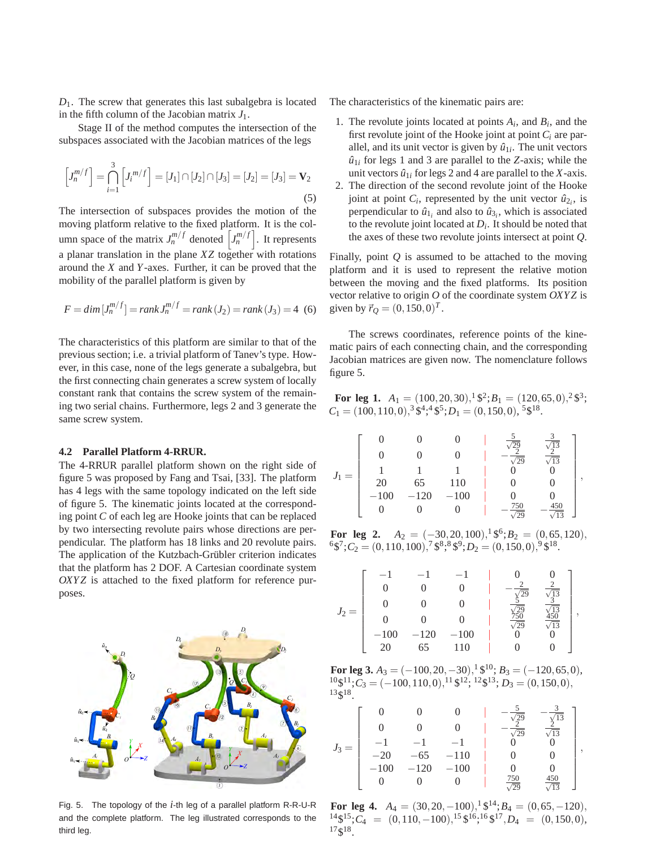*D*1. The screw that generates this last subalgebra is located in the fifth column of the Jacobian matrix  $J_1$ .

Stage II of the method computes the intersection of the subspaces associated with the Jacobian matrices of the legs

$$
\left[J_n^{m/f}\right] = \bigcap_{i=1}^3 \left[J_i^{m/f}\right] = [J_1] \cap [J_2] \cap [J_3] = [J_2] = [J_3] = \mathbf{V}_2
$$
\n(5)

The intersection of subspaces provides the motion of the moving platform relative to the fixed platform. It is the column space of the matrix  $J_n^{m/f}$  denoted  $\left[J_n^{m/f}\right]$ . It represents a planar translation in the plane *XZ* together with rotations around the *X* and *Y*-axes. Further, it can be proved that the mobility of the parallel platform is given by

$$
F = \dim [J_n^{m/f}] = \text{rank } J_n^{m/f} = \text{rank } (J_2) = \text{rank } (J_3) = 4 \tag{6}
$$

The characteristics of this platform are similar to that of the previous section; i.e. a trivial platform of Tanev's type. However, in this case, none of the legs generate a subalgebra, but the first connecting chain generates a screw system of locally constant rank that contains the screw system of the remaining two serial chains. Furthermore, legs 2 and 3 generate the same screw system.

## **4.2 Parallel Platform 4-RRUR.**

The 4-RRUR parallel platform shown on the right side of figure 5 was proposed by Fang and Tsai, [33]. The platform has 4 legs with the same topology indicated on the left side of figure 5. The kinematic joints located at the corresponding point *C* of each leg are Hooke joints that can be replaced by two intersecting revolute pairs whose directions are perpendicular. The platform has 18 links and 20 revolute pairs. The application of the Kutzbach-Grübler criterion indicates that the platform has 2 DOF. A Cartesian coordinate system *OXYZ* is attached to the fixed platform for reference purposes.



Fig. 5. The topology of the *i*-th leg of a parallel platform R-R-U-R and the complete platform. The leg illustrated corresponds to the third leg.

The characteristics of the kinematic pairs are:

- 1. The revolute joints located at points  $A_i$ , and  $B_i$ , and the first revolute joint of the Hooke joint at point *C<sup>i</sup>* are parallel, and its unit vector is given by  $\hat{u}_{1i}$ . The unit vectors  $\hat{u}_{1i}$  for legs 1 and 3 are parallel to the *Z*-axis; while the unit vectors  $\hat{u}_{1i}$  for legs 2 and 4 are parallel to the *X*-axis.
- 2. The direction of the second revolute joint of the Hooke joint at point  $C_i$ , represented by the unit vector  $\hat{u}_{2i}$ , is perpendicular to  $\hat{u}_{1_i}$  and also to  $\hat{u}_{3_i}$ , which is associated to the revolute joint located at  $D_i$ . It should be noted that the axes of these two revolute joints intersect at point *Q*.

Finally, point *Q* is assumed to be attached to the moving platform and it is used to represent the relative motion between the moving and the fixed platforms. Its position vector relative to origin *O* of the coordinate system *OXY Z* is given by  $\vec{r}_Q = (0, 150, 0)^T$ .

The screws coordinates, reference points of the kinematic pairs of each connecting chain, and the corresponding Jacobian matrices are given now. The nomenclature follows figure 5.

**For leg 1.**  $A_1 = (100, 20, 30), ^1$  \$<sup>2</sup>;  $B_1 = (120, 65, 0), ^2$  \$<sup>3</sup>;  $C_1 = (100, 110, 0), \frac{3}{5} \cdot \frac{4!}{5} \cdot \frac{4!}{5}$ ;  $D_1 = (0, 150, 0), \frac{5}{5} \cdot \frac{4!}{5}$ .

$$
J_1=\left[\begin{array}{ccccc}0&0&0&\frac{5}{\sqrt{29}}&\frac{3}{\sqrt{13}}\\0&0&0&-\frac{2}{\sqrt{29}}&\frac{2}{\sqrt{13}}\\1&1&1&0&0\\20&65&110&0&0\\-100&-120&-100&0&0\\0&0&0&-\frac{750}{\sqrt{29}}&-\frac{450}{\sqrt{13}}\end{array}\right],
$$

**For leg 2.**  $A_2 = (-30, 20, 100), 1, 8, 6, B_2 = (0, 65, 120),$  ${}^{6}\$^{7};C_2 = (0,110,100), {}^{7}\$^{8}; {}^{8}\$^{9};D_2 = (0,150,0), {}^{9}\$^{18}.$ 

|  |     |        |        |  | $\frac{1}{3}$                  |   |
|--|-----|--------|--------|--|--------------------------------|---|
|  |     |        |        |  |                                |   |
|  |     |        |        |  | $\frac{13}{50}$<br>$\sqrt{13}$ | , |
|  | 100 | $-120$ | $-100$ |  |                                |   |
|  | 20  | 65     | 10     |  |                                |   |

**For leg 3.**  $A_3 = (-100, 20, -30), \frac{1}{2} \, \frac{1}{2} \, \frac{10}{2}$ ;  $B_3 = (-120, 65, 0), \frac{1}{2} \, \frac{1}{2} \, \frac{10}{2}$ ;  $B_3 = (-120, 65, 0), \frac{1}{2} \, \frac{10}{2} \, \frac{10}{2}$  $10\frac{10}{12}$ ;  $C_3 = (-100, 110, 0),$ <sup>11</sup> \$<sup>12</sup>; <sup>12</sup>\$<sup>13</sup>;  $D_3 = (0, 150, 0),$ <sup>13</sup>\$ 18 .

$$
J_3=\left[\begin{array}{ccccc}0&0&0&|&-\frac{5}{\sqrt{29}}&-\frac{3}{\sqrt{13}}\\0&0&0&|&-\frac{2}{\sqrt{29}}&\frac{1}{\sqrt{13}}\\-1&-1&-1&|&0&0\\-20&-65&-110&|&0&0\\-100&-120&-100&|&0&0\\0&0&0&|&\frac{750}{\sqrt{29}}&\frac{450}{\sqrt{13}}\end{array}\right],
$$

**For leg 4.**  $A_4 = (30, 20, -100), 1\,9^{14}; B_4 = (0, 65, -120),$ <sup>14</sup>\$<sup>15</sup>;C<sub>4</sub> = (0,110, −100),<sup>15</sup> \$<sup>16</sup>;<sup>16</sup> \$<sup>17</sup>,D<sub>4</sub> = (0,150,0), <sup>17</sup>\$ 18 .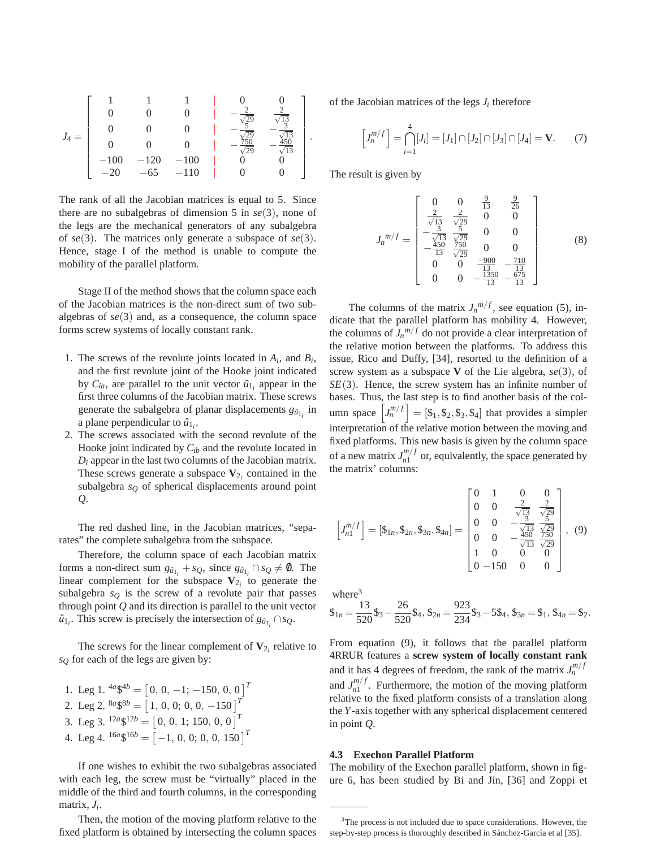

The rank of all the Jacobian matrices is equal to 5. Since there are no subalgebras of dimension 5 in *se*(3), none of the legs are the mechanical generators of any subalgebra of *se*(3). The matrices only generate a subspace of *se*(3). Hence, stage I of the method is unable to compute the mobility of the parallel platform.

Stage II of the method shows that the column space each of the Jacobian matrices is the non-direct sum of two subalgebras of *se*(3) and, as a consequence, the column space forms screw systems of locally constant rank.

- 1. The screws of the revolute joints located in  $A_i$ , and  $B_i$ , and the first revolute joint of the Hooke joint indicated by  $C_{ia}$ , are parallel to the unit vector  $\hat{u}_{1i}$  appear in the first three columns of the Jacobian matrix. These screws generate the subalgebra of planar displacements  $g_{\hat{u}_{1_i}}$  in a plane perpendicular to  $\hat{u}_{1_i}$ .
- 2. The screws associated with the second revolute of the Hooke joint indicated by *Cib* and the revolute located in  $D_i$  appear in the last two columns of the Jacobian matrix. These screws generate a subspace  $V_{2i}$  contained in the subalgebra *s<sup>Q</sup>* of spherical displacements around point *Q*.

The red dashed line, in the Jacobian matrices, "separates" the complete subalgebra from the subspace.

Therefore, the column space of each Jacobian matrix forms a non-direct sum  $g_{\hat{u}_{1_i}} + s_Q$ , since  $g_{\hat{u}_{1_i}} \cap s_Q \neq \emptyset$ . The linear complement for the subspace  $V_{2i}$  to generate the subalgebra  $s_Q$  is the screw of a revolute pair that passes through point *Q* and its direction is parallel to the unit vector  $\hat{u}_{1_i}$ . This screw is precisely the intersection of  $g_{\hat{u}_{1_i}} \cap s_Q$ .

The screws for the linear complement of  $V_{2i}$  relative to *s<sup>Q</sup>* for each of the legs are given by:

1. Leg 1.  $\binom{4a}{5} = \left[0, 0, -1; -150, 0, 0\right]^T$ 2. Leg 2.  ${}^{8a}$ \$ ${}^{8b}$  =  $\left[1, 0, 0; 0, 0, -150\right]$ <sup>T</sup> 3. Leg 3.  $\binom{12a}{5} = [0, 0, 1; 150, 0, 0]^T$ 4. Leg 4.  $\binom{16a}{5}$  =  $[-1, 0, 0; 0, 0, 150]$ <sup>T</sup>

If one wishes to exhibit the two subalgebras associated with each leg, the screw must be "virtually" placed in the middle of the third and fourth columns, in the corresponding matrix, *J<sup>i</sup>* .

Then, the motion of the moving platform relative to the fixed platform is obtained by intersecting the column spaces of the Jacobian matrices of the legs  $J_i$  therefore

$$
\[J_n^{m/f}\] = \bigcap_{i=1}^4 [J_i] = [J_1] \cap [J_2] \cap [J_3] \cap [J_4] = \mathbf{V}.\tag{7}
$$

The result is given by

$$
J_n{}^{m/f} = \begin{bmatrix} 0 & 0 & \frac{9}{13} & \frac{9}{26} \\ \frac{2}{\sqrt{13}} & \frac{2}{\sqrt{29}} & 0 & 0 \\ -\frac{3}{\sqrt{13}} & \frac{5}{\sqrt{29}} & 0 & 0 \\ -\frac{450}{13} & \frac{750}{\sqrt{29}} & 0 & 0 \\ 0 & 0 & \frac{-900}{13} & -\frac{710}{13} \\ 0 & 0 & -\frac{1350}{13} & -\frac{675}{13} \end{bmatrix}
$$
(8)

The columns of the matrix  $J_n^{m/f}$ , see equation (5), indicate that the parallel platform has mobility 4. However, the columns of  $J_n^{m/f}$  do not provide a clear interpretation of the relative motion between the platforms. To address this issue, Rico and Duffy, [34], resorted to the definition of a screw system as a subspace **V** of the Lie algebra, *se*(3), of *SE*(3). Hence, the screw system has an infinite number of bases. Thus, the last step is to find another basis of the column space  $\left[ J_n^{m/f} \right] = \left[ \$_1, \$_2, \$_3, \$_4 \right]$  that provides a simpler interpretation of the relative motion between the moving and fixed platforms. This new basis is given by the column space of a new matrix  $J_{n1}^{m/f}$  $\binom{m}{n}$  or, equivalently, the space generated by the matrix' columns:

$$
\begin{bmatrix} J_m^{m/f} \end{bmatrix} = [\$_{1n}, \$_{2n}, \$_{3n}, \$_{4n}] = \begin{bmatrix} 0 & 1 & 0 & 0 \\ 0 & 0 & \frac{2}{\sqrt{13}} & \frac{2}{\sqrt{29}} \\ 0 & 0 & -\frac{3}{\sqrt{13}} & \frac{5}{\sqrt{29}} \\ 0 & 0 & -\frac{450}{\sqrt{13}} & \frac{750}{\sqrt{29}} \\ 1 & 0 & 0 & 0 \\ 0 & -150 & 0 & 0 \end{bmatrix}, (9)
$$

where $3$ 

$$
\$_{1n} = \frac{13}{520}\$_3 - \frac{26}{520}\$_4, \$_{2n} = \frac{923}{234}\$_3 - 5\$_4, \$_{3n} = \$_1, \$_{4n} = \$_2.
$$

From equation (9), it follows that the parallel platform 4RRUR features a **screw system of locally constant rank** and it has 4 degrees of freedom, the rank of the matrix  $J_n^{m/f}$ and  $J_{n1}^{m/f}$  $\binom{m}{n}$ . Furthermore, the motion of the moving platform relative to the fixed platform consists of a translation along the *Y*-axis together with any spherical displacement centered in point *Q*.

## **4.3 Exechon Parallel Platform**

The mobility of the Exechon parallel platform, shown in figure 6, has been studied by Bi and Jin, [36] and Zoppi et

<sup>&</sup>lt;sup>3</sup>The process is not included due to space considerations. However, the step-by-step process is thoroughly described in Sánchez-García et al [35].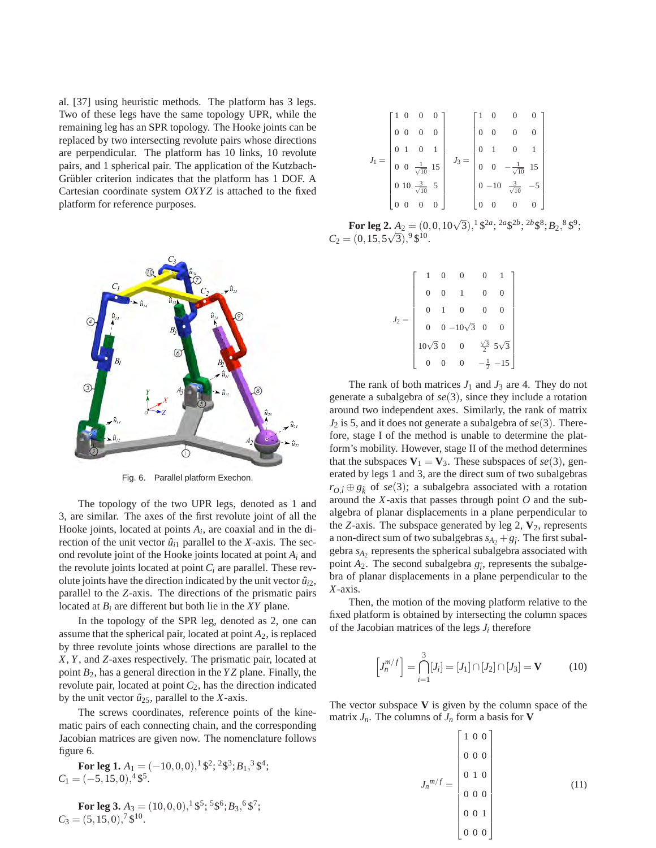al. [37] using heuristic methods. The platform has 3 legs. Two of these legs have the same topology UPR, while the remaining leg has an SPR topology. The Hooke joints can be replaced by two intersecting revolute pairs whose directions are perpendicular. The platform has 10 links, 10 revolute pairs, and 1 spherical pair. The application of the Kutzbach-Grübler criterion indicates that the platform has 1 DOF. A Cartesian coordinate system *OXYZ* is attached to the fixed platform for reference purposes.



Fig. 6. Parallel platform Exechon.

The topology of the two UPR legs, denoted as 1 and 3, are similar. The axes of the first revolute joint of all the Hooke joints, located at points *A<sup>i</sup>* , are coaxial and in the direction of the unit vector  $\hat{u}_{i1}$  parallel to the *X*-axis. The second revolute joint of the Hooke joints located at point *A<sup>i</sup>* and the revolute joints located at point *C<sup>i</sup>* are parallel. These revolute joints have the direction indicated by the unit vector  $\hat{u}_{i2}$ , parallel to the *Z*-axis. The directions of the prismatic pairs located at  $B_i$  are different but both lie in the *XY* plane.

In the topology of the SPR leg, denoted as 2, one can assume that the spherical pair, located at point *A*2, is replaced by three revolute joints whose directions are parallel to the *X*, *Y*, and *Z*-axes respectively. The prismatic pair, located at point *B*2, has a general direction in the *Y Z* plane. Finally, the revolute pair, located at point  $C_2$ , has the direction indicated by the unit vector  $\hat{u}_{25}$ , parallel to the *X*-axis.

The screws coordinates, reference points of the kinematic pairs of each connecting chain, and the corresponding Jacobian matrices are given now. The nomenclature follows figure 6.

**For leg 1.** 
$$
A_1 = (-10, 0, 0), ^1\frac{62}{3}, ^2\frac{63}{3}, B_1, ^3\frac{64}{3}
$$
;   
 $C_1 = (-5, 15, 0), ^4\frac{65}{3}$ .

**For leg 3.** 
$$
A_3 = (10, 0, 0), ^1\$^5; ^5\$^6; B_3, ^6\$^7;
$$
  
 $C_3 = (5, 15, 0), ^7\$^{10}.$ 

$$
J_1 = \begin{bmatrix} 1 & 0 & 0 & 0 \\ 0 & 0 & 0 & 0 \\ 0 & 1 & 0 & 1 \\ 0 & 0 & \frac{1}{\sqrt{10}} & 15 \\ 0 & 10 & \frac{3}{\sqrt{10}} & 5 \\ 0 & 0 & 0 & 0 \end{bmatrix} \quad J_3 = \begin{bmatrix} 1 & 0 & 0 & 0 \\ 0 & 0 & 0 & 0 \\ 0 & 1 & 0 & 1 \\ 0 & 0 & -\frac{1}{\sqrt{10}} & 15 \\ 0 & -10 & \frac{3}{\sqrt{10}} & -5 \\ 0 & 0 & 0 & 0 \end{bmatrix}
$$

**For leg 2.**  $A_2 = (0, 0, 10\sqrt{3}),^1 \frac{6^{2a}}{3}$ ,  $\frac{2a}{3}$ ,  $\frac{2b}{3}$ ,  $\frac{8}{3}$ ,  $B_2$ ,  $\frac{8}{3}$ ,  $\frac{6}{3}$ ,  $C_2 = (0, 15, 5\sqrt{3}),^9 \text{ } \$^{10}.$ 

|                | $\overline{0}$   |                      |             |
|----------------|------------------|----------------------|-------------|
|                | $0 - 10\sqrt{3}$ | $\overline{0}$       |             |
| $10\sqrt{3}$ 0 | $\overline{0}$   | $\frac{\sqrt{3}}{2}$ | $5\sqrt{3}$ |
|                | $\overline{0}$   | $\frac{1}{2}$        | $-15$       |

The rank of both matrices  $J_1$  and  $J_3$  are 4. They do not generate a subalgebra of *se*(3), since they include a rotation around two independent axes. Similarly, the rank of matrix *J*<sup>2</sup> is 5, and it does not generate a subalgebra of *se*(3). Therefore, stage I of the method is unable to determine the platform's mobility. However, stage II of the method determines that the subspaces  $V_1 = V_3$ . These subspaces of *se*(3), generated by legs 1 and 3, are the direct sum of two subalgebras  $r_{O,\hat{i}} \oplus g_{\hat{k}}$  of *se*(3); a subalgebra associated with a rotation around the *X*-axis that passes through point *O* and the subalgebra of planar displacements in a plane perpendicular to the *Z*-axis. The subspace generated by leg 2,  $V_2$ , represents a non-direct sum of two subalgebras  $s_{A_2} + g_{\hat{i}}$ . The first subalgebra *sA*<sup>2</sup> represents the spherical subalgebra associated with point  $A_2$ . The second subalgebra  $g_i$ , represents the subalgebra of planar displacements in a plane perpendicular to the *X*-axis.

Then, the motion of the moving platform relative to the fixed platform is obtained by intersecting the column spaces of the Jacobian matrices of the legs  $J_i$  therefore

$$
\[J_n^{m/f}\] = \bigcap_{i=1}^3 [J_i] = [J_1] \cap [J_2] \cap [J_3] = \mathbf{V} \tag{10}
$$

The vector subspace **V** is given by the column space of the matrix  $J_n$ . The columns of  $J_n$  form a basis for **V** 

$$
J_n{}^{m/f} = \begin{bmatrix} 1 & 0 & 0 \\ 0 & 0 & 0 \\ 0 & 1 & 0 \\ 0 & 0 & 0 \\ 0 & 0 & 1 \\ 0 & 0 & 0 \end{bmatrix}
$$
(11)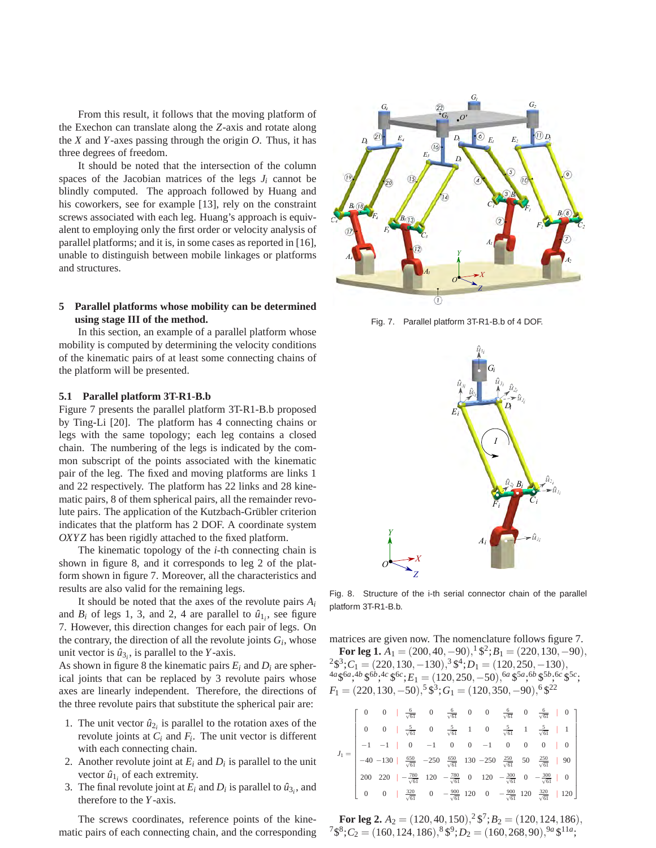From this result, it follows that the moving platform of the Exechon can translate along the *Z*-axis and rotate along the *X* and *Y*-axes passing through the origin  $O$ . Thus, it has three degrees of freedom.

It should be noted that the intersection of the column spaces of the Jacobian matrices of the legs  $J_i$  cannot be blindly computed. The approach followed by Huang and his coworkers, see for example [13], rely on the constraint screws associated with each leg. Huang's approach is equivalent to employing only the first order or velocity analysis of parallel platforms; and it is, in some cases as reported in [16], unable to distinguish between mobile linkages or platforms and structures.

# **5 Parallel platforms whose mobility can be determined using stage III of the method.**

In this section, an example of a parallel platform whose mobility is computed by determining the velocity conditions of the kinematic pairs of at least some connecting chains of the platform will be presented.

## **5.1 Parallel platform 3T-R1-B.b**

Figure 7 presents the parallel platform 3T-R1-B.b proposed by Ting-Li [20]. The platform has 4 connecting chains or legs with the same topology; each leg contains a closed chain. The numbering of the legs is indicated by the common subscript of the points associated with the kinematic pair of the leg. The fixed and moving platforms are links 1 and 22 respectively. The platform has 22 links and 28 kinematic pairs, 8 of them spherical pairs, all the remainder revolute pairs. The application of the Kutzbach-Grübler criterion indicates that the platform has 2 DOF. A coordinate system *OXY Z* has been rigidly attached to the fixed platform.

The kinematic topology of the *i*-th connecting chain is shown in figure 8, and it corresponds to leg 2 of the platform shown in figure 7. Moreover, all the characteristics and results are also valid for the remaining legs.

It should be noted that the axes of the revolute pairs *A<sup>i</sup>* and  $B_i$  of legs 1, 3, and 2, 4 are parallel to  $\hat{u}_{1i}$ , see figure 7. However, this direction changes for each pair of legs. On the contrary, the direction of all the revolute joints  $G_i$ , whose unit vector is  $\hat{u}_{3i}$ , is parallel to the *Y*-axis.

As shown in figure 8 the kinematic pairs  $E_i$  and  $D_i$  are spherical joints that can be replaced by 3 revolute pairs whose axes are linearly independent. Therefore, the directions of the three revolute pairs that substitute the spherical pair are:

- 1. The unit vector  $\hat{u}_{2i}$  is parallel to the rotation axes of the revolute joints at *C<sup>i</sup>* and *F<sup>i</sup>* . The unit vector is different with each connecting chain.
- 2. Another revolute joint at  $E_i$  and  $D_i$  is parallel to the unit vector  $\hat{u}_{1i}$  of each extremity.
- 3. The final revolute joint at  $E_i$  and  $D_i$  is parallel to  $\hat{u}_{3_i}$ , and therefore to the *Y*-axis.

The screws coordinates, reference points of the kinematic pairs of each connecting chain, and the corresponding



Fig. 7. Parallel platform 3T-R1-B.b of 4 DOF.



Fig. 8. Structure of the i-th serial connector chain of the parallel platform 3T-R1-B.b.

matrices are given now. The nomenclature follows figure 7. **For leg 1.**  $A_1 = (200, 40, -90), 1\frac{6}{3}$ ;  $B_1 = (220, 130, -90),$  ${}^{2}\$^{3};C_{1} = (220, 130, -130), {}^{3}\$^{4};D_{1} = (120, 250, -130),$ 

 $^{4a}$ \$ $^{6a}$ , $^{4b}$ \$ $^{6b}$ , $^{4c}$ \$ $^{6c}$ ; $E_1 = (120, 250, -50)$ , $^{6a}$ \$ $^{5a}$ , $^{6b}$ \$ $^{5b}$ , $^{6c}$ \$ $^{5c}$ ;  $F_1 = (220, 130, -50),$ <sup>5</sup>\$<sup>3</sup>;  $G_1 = (120, 350, -90),$ <sup>6</sup>\$<sup>22</sup>

|  |  |  |  |  | $\begin{bmatrix} 0 & 0 & \frac{6}{\sqrt{61}} & 0 & \frac{6}{\sqrt{61}} & 0 & 0 & \frac{6}{\sqrt{61}} & 0 & \frac{6}{\sqrt{61}} & 0 \end{bmatrix}$                                                                                           |  |
|--|--|--|--|--|---------------------------------------------------------------------------------------------------------------------------------------------------------------------------------------------------------------------------------------------|--|
|  |  |  |  |  | 0 0 $\frac{5}{\sqrt{61}}$ 0 $\frac{5}{\sqrt{61}}$ 1 0 $\frac{5}{\sqrt{61}}$ 1 $\frac{5}{\sqrt{61}}$ 1 $\frac{5}{\sqrt{61}}$ 1                                                                                                               |  |
|  |  |  |  |  |                                                                                                                                                                                                                                             |  |
|  |  |  |  |  | $J_1 = \begin{vmatrix} -1 & -1 &   & 0 & -1 & 0 & 0 & -1 & 0 & 0 & 0 & 0 & 0 \\ -40 & -130 &   & \frac{650}{\sqrt{61}} & -250 & \frac{650}{\sqrt{61}} & 130 & -250 & \frac{250}{\sqrt{61}} & 50 & \frac{250}{\sqrt{61}} & 90 \end{vmatrix}$ |  |
|  |  |  |  |  | 200 220 $\vert -\frac{780}{\sqrt{61}} \vert 120 \vert -\frac{780}{\sqrt{61}} \vert 0 \vert 120 \vert -\frac{300}{\sqrt{61}} \vert 0 \vert -\frac{300}{\sqrt{61}} \vert 0 \vert 0 \vert$                                                     |  |
|  |  |  |  |  | $\begin{bmatrix} 0 & 0 & \frac{320}{\sqrt{61}} & 0 & -\frac{900}{\sqrt{61}} & 120 & 0 & -\frac{900}{\sqrt{61}} & 120 & \frac{320}{\sqrt{61}} & 120 \end{bmatrix}$                                                                           |  |

**For leg 2.**  $A_2 = (120, 40, 150), ^2$  \$<sup>7</sup>;  $B_2 = (120, 124, 186),$  $7\$ <sup>8</sup>; $C_2 = (160, 124, 186),$ <sup>8</sup> $\$ <sup>9</sup>; $D_2 = (160, 268, 90),$ <sup>9*a*</sup> $\$ <sup>11*a*</sup>;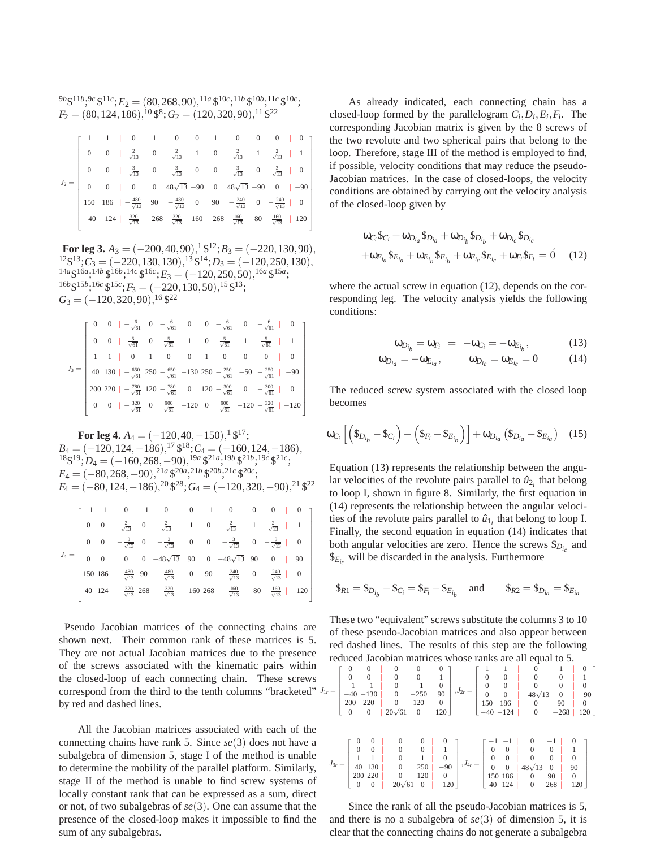$9b\$ \$ $11b,9c\$ \$ $11c$ ; $E_2 = (80,268,90),$  $11a\$ \$ $10c,11b\$ \$ $10b,11c\$ \$ $10c$ ;  $F_2 = (80, 124, 186), ^{10}$  \$<sup>8</sup>;  $G_2 = (120, 320, 90), ^{11}$  \$<sup>22</sup>

|  |  |  |  | $1 \quad 1 \quad 0 \quad 1 \quad 0 \quad 0 \quad 1 \quad 0 \quad 0 \quad 0 \quad 0$                                                   |  |  |
|--|--|--|--|---------------------------------------------------------------------------------------------------------------------------------------|--|--|
|  |  |  |  | 0 0   $\frac{2}{\sqrt{13}}$ 0 $\frac{2}{\sqrt{13}}$ 1 0 $\frac{2}{\sqrt{13}}$ 1 $\frac{2}{\sqrt{13}}$   1                             |  |  |
|  |  |  |  | 0 0 $\frac{3}{\sqrt{13}}$ 0 $\frac{3}{\sqrt{13}}$ 0 0 $\frac{3}{\sqrt{13}}$ 0 $\frac{3}{\sqrt{13}}$ 1 0                               |  |  |
|  |  |  |  | 0 0   0 0 $48\sqrt{13}$ -90 0 $48\sqrt{13}$ -90 0   -90                                                                               |  |  |
|  |  |  |  | 150 186   $-\frac{480}{\sqrt{13}}$ 90 $-\frac{480}{\sqrt{13}}$ 0 90 $-\frac{240}{\sqrt{13}}$ 0 $-\frac{240}{\sqrt{13}}$ 0 $\boxed{0}$ |  |  |
|  |  |  |  | $-40$ -124   $\frac{320}{\sqrt{13}}$ -268 $\frac{320}{\sqrt{13}}$ 160 -268 $\frac{160}{\sqrt{13}}$ 80 $\frac{160}{\sqrt{13}}$   120   |  |  |

**For leg 3.**  $A_3 = (-200, 40, 90), \frac{1}{3} \frac{1}{3} \cdot 12; B_3 = (-220, 130, 90),$ <sup>12</sup>\$<sup>13</sup>; C<sub>3</sub> = (−220, 130, 130),<sup>13</sup> \$<sup>14</sup>; D<sub>3</sub> = (−120, 250, 130),  $^{14a}\$^{16a}$ ,  $^{14b}\$^{16b}$ ,  $^{14c}\$^{16c}$ ;  $E_3 = (-120, 250, 50)$ ,  $^{16a}\$^{15a}$ ;  $16b\frac{1}{2}15b\frac{1}{2}16c\frac{1}{2}15c\frac{1}{2}F_3 = (-220, 130, 50)\frac{15}{2}15c\frac{13}{2}$  $G_3 = (-120, 320, 90), 16 \, \frac{\$22}{2}$ 

|  |  |  |  |  | 0 0 $-\frac{6}{\sqrt{61}}$ 0 $-\frac{6}{\sqrt{61}}$ 0 0 $-\frac{6}{\sqrt{61}}$ 0 $-\frac{6}{\sqrt{61}}$ 0 $\boxed{0}$                                                                                                             |
|--|--|--|--|--|-----------------------------------------------------------------------------------------------------------------------------------------------------------------------------------------------------------------------------------|
|  |  |  |  |  | 0 $\frac{5}{\sqrt{61}}$ 0 $\frac{5}{\sqrt{61}}$ 1 0 $\frac{5}{\sqrt{61}}$ 1 $\frac{5}{\sqrt{61}}$ 1 $\frac{1}{\sqrt{61}}$                                                                                                         |
|  |  |  |  |  | $0 \mid 0 \mid$                                                                                                                                                                                                                   |
|  |  |  |  |  | $J_3 = \begin{bmatrix} 1 & 1 & 0 & 1 & 0 & 0 & 1 & 0 & 0 & 0 & 0 & 0 \ 40 & 130 & -\frac{650}{\sqrt{61}} & 250 & -\frac{650}{\sqrt{61}} & -130 & 250 & -\frac{250}{\sqrt{61}} & -50 & -\frac{250}{\sqrt{61}} & -90 \end{bmatrix}$ |
|  |  |  |  |  | 200 220   $-\frac{780}{\sqrt{61}}$ 120 $-\frac{780}{\sqrt{61}}$ 0 120 $-\frac{300}{\sqrt{61}}$ 0 $-\frac{300}{\sqrt{61}}$   0                                                                                                     |
|  |  |  |  |  |                                                                                                                                                                                                                                   |

**For leg 4.**  $A_4 = (-120, 40, -150), 1\,$ \$<sup>17</sup>; *B*<sup>4</sup> = (−120,124,−186), <sup>17</sup> \$ <sup>18</sup>;*C*<sup>4</sup> = (−160,124,−186),  $18\frac{19}{5}$ ;  $D_4 = (-160, 268, -90), \frac{19a}{5}$  \$  $21a, 19b$  \$  $21b, 19c$  \$  $21c$ ;  $E_4 = (-80, 268, -90), \frac{21a}{20}, \frac{20a}{25}, \frac{21b}{5}, \frac{20b}{5}, \frac{21c}{5}, \frac{20c}{5}$  $F_4 = (-80, 124, -186), \frac{20}{3}$  \$<sup>28</sup>;  $G_4 = (-120, 320, -90), \frac{21}{3}$  \$<sup>22</sup>  $J_4 =$ f  $-1$  -1 | 0 -1 0 0 -1 0 0 0 | 0 0 0  $\frac{2}{\sqrt{13}}$  0  $\frac{2}{\sqrt{13}}$  1 0  $\frac{2}{\sqrt{13}}$  1  $\frac{2}{\sqrt{13}}$  1 0 0  $\frac{3}{\sqrt{13}}$  0  $-\frac{3}{\sqrt{13}}$  0 0  $-\frac{3}{\sqrt{13}}$  0  $-\frac{3}{\sqrt{13}}$  0 0 0 | 0 0  $-48\sqrt{13}$  90 0  $-48\sqrt{13}$  90 0 | 90 150 186  $\vert -\frac{480}{\sqrt{13}}$  90  $\vert -\frac{480}{\sqrt{13}}$  0 90  $\vert -\frac{240}{\sqrt{13}} \vert$  0  $\vert -\frac{240}{\sqrt{13}} \vert$  0 40 124 |  $-\frac{320}{\sqrt{13}}$  268  $-\frac{320}{\sqrt{13}}$  -160 268  $-\frac{160}{\sqrt{13}}$  -80  $-\frac{160}{\sqrt{13}}$  | -120 1 

Pseudo Jacobian matrices of the connecting chains are shown next. Their common rank of these matrices is 5. They are not actual Jacobian matrices due to the presence of the screws associated with the kinematic pairs within the closed-loop of each connecting chain. These screws correspond from the third to the tenth columns "bracketed"  $J_{1r}$  = by red and dashed lines.

All the Jacobian matrices associated with each of the connecting chains have rank 5. Since *se*(3) does not have a subalgebra of dimension 5, stage I of the method is unable to determine the mobility of the parallel platform. Similarly, stage II of the method is unable to find screw systems of locally constant rank that can be expressed as a sum, direct or not, of two subalgebras of *se*(3). One can assume that the presence of the closed-loop makes it impossible to find the sum of any subalgebras.

As already indicated, each connecting chain has a closed-loop formed by the parallelogram  $C_i$ ,  $D_i$ ,  $E_i$ ,  $F_i$ . The corresponding Jacobian matrix is given by the 8 screws of the two revolute and two spherical pairs that belong to the loop. Therefore, stage III of the method is employed to find, if possible, velocity conditions that may reduce the pseudo-Jacobian matrices. In the case of closed-loops, the velocity conditions are obtained by carrying out the velocity analysis of the closed-loop given by

$$
\omega_{C_i} \mathcal{S}_{C_i} + \omega_{D_{i_a}} \mathcal{S}_{D_{i_a}} + \omega_{D_{i_b}} \mathcal{S}_{D_{i_b}} + \omega_{D_{i_c}} \mathcal{S}_{D_{i_c}}
$$

$$
+ \omega_{E_{i_a}} \mathcal{S}_{E_{i_a}} + \omega_{E_{i_b}} \mathcal{S}_{E_{i_b}} + \omega_{E_{i_c}} \mathcal{S}_{E_{i_c}} + \omega_{F_i} \mathcal{S}_{F_i} = \vec{0} \quad (12)
$$

where the actual screw in equation (12), depends on the corresponding leg. The velocity analysis yields the following conditions:

$$
\omega_{D_{i_b}} = \omega_{F_i} = -\omega_{C_i} = -\omega_{E_{i_b}},\tag{13}
$$

$$
\omega_{D_{i_a}} = -\omega_{E_{i_a}}, \qquad \omega_{D_{i_c}} = \omega_{E_{i_c}} = 0 \tag{14}
$$

The reduced screw system associated with the closed loop becomes

$$
\omega_{C_i}\left[\left(\$_{D_{i_b}}-\$_{C_i}\right)-\left(\$_{F_i}-\$_{E_{i_b}}\right)\right]+\omega_{D_{i_a}}\left(\$_{D_{i_a}}-\$_{E_{i_a}}\right)\quad(15)
$$

Equation (13) represents the relationship between the angular velocities of the revolute pairs parallel to  $\hat{u}_{2i}$  that belong to loop I, shown in figure 8. Similarly, the first equation in (14) represents the relationship between the angular velocities of the revolute pairs parallel to  $\hat{u}_{1i}$  that belong to loop I. Finally, the second equation in equation (14) indicates that both angular velocities are zero. Hence the screws  $\mathcal{S}_{D_i}$  and  $\$_{E_{i_c}}$  will be discarded in the analysis. Furthermore

$$
\$R_1 = \$D_{i_b} - \$C_i = \$F_i - \$E_{i_b}
$$
 and  $\$R_2 = \$D_{i_a} = \$E_{i_a}$ 

These two "equivalent" screws substitute the columns 3 to 10 of these pseudo-Jacobian matrices and also appear between red dashed lines. The results of this step are the following reduced Jacobian matrices whose ranks are all equal to 5.

|            | $\mathbf{0}$   |          | $\Omega$         | $\theta$         | $\Omega$     | 0            |            |                  |                                  | $\Omega$       |              |              |          |
|------------|----------------|----------|------------------|------------------|--------------|--------------|------------|------------------|----------------------------------|----------------|--------------|--------------|----------|
|            | $\mathbf{0}$   |          | $\mathbf{0}$     | $\overline{0}$   | $\Omega$     |              |            |                  | $\overline{0}$                   |                |              |              |          |
|            |                |          |                  | $\overline{0}$   | $-1$         | $\theta$     |            | $\boldsymbol{0}$ | $\theta$                         |                |              | 0            |          |
| $r =$      |                | $-40$    | $-130$           | $\mathbf{0}$     | $-250$       | 90           | $J_{2r} =$ | $\overline{0}$   | $\overline{0}$                   | $-48\sqrt{13}$ | $\mathbf{0}$ | $-90$        |          |
|            | 200            |          | 220              | $\boldsymbol{0}$ | 120          | $\mathbf{0}$ |            | 150              | 186                              | $\mathbf{0}$   | 90           | $\theta$     |          |
|            | $\overline{0}$ |          | $\mathbf{0}$     | $20\sqrt{61}$    | $\mathbf{0}$ | 120          |            |                  | $-40 - 124$                      | $\overline{0}$ | $-268$       |              | $120 \;$ |
|            |                |          |                  |                  |              |              |            |                  |                                  |                |              |              |          |
|            |                |          |                  |                  |              |              |            |                  |                                  |                |              |              |          |
|            |                |          | $\theta$         | $\mathbf{0}$     | 0            |              |            |                  |                                  |                | $^{-1}$      |              |          |
|            |                |          | $\boldsymbol{0}$ | $\mathbf{0}$     | $\mathbf{0}$ |              |            | $\boldsymbol{0}$ | $\mathbf{0}$                     | $\mathbf{0}$   | $\mathbf{0}$ |              |          |
|            |                |          |                  | $\boldsymbol{0}$ |              |              |            | $\boldsymbol{0}$ |                                  | $\mathbf{0}$   | $\mathbf{0}$ | $\theta$     |          |
| $J_{3r} =$ |                | 40       | 130              | $\overline{0}$   | 250          | $-90$        | $J_{4r} =$ | $\mathbf{0}$     | $\begin{matrix}0\\0\end{matrix}$ | $48\sqrt{13}$  | $\mathbf{0}$ | 90           |          |
|            |                |          | 200 220          | $\mathbf{0}$     | 120          | $\mathbf{0}$ |            |                  | 150 186                          | $\mathbf{0}$   | 90           | $\mathbf{0}$ |          |
|            |                |          | $\Omega$         | $-20\sqrt{61}$   | $\theta$     |              |            |                  | 124                              | $\mathbf{0}$   | 268          |              |          |
|            |                | $\theta$ |                  |                  |              | $-120$       |            | 40               |                                  |                |              | $-120$       |          |

Since the rank of all the pseudo-Jacobian matrices is 5, and there is no a subalgebra of *se*(3) of dimension 5, it is clear that the connecting chains do not generate a subalgebra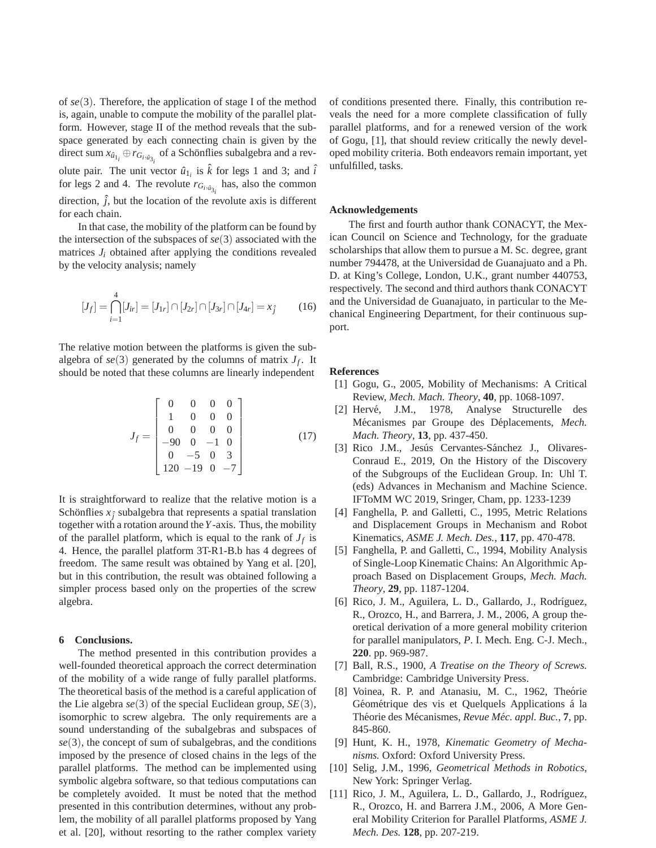of *se*(3). Therefore, the application of stage I of the method is, again, unable to compute the mobility of the parallel platform. However, stage II of the method reveals that the subspace generated by each connecting chain is given by the direct sum  $x_{\hat{u}_{1_i}} \oplus r_{G_i, \hat{u}_{3_i}}$  of a Schönflies subalgebra and a revolute pair. The unit vector  $\hat{u}_{1_i}$  is  $\hat{k}$  for legs 1 and 3; and  $\hat{i}$ for legs 2 and 4. The revolute  $r_{G_i, \hat{u}_{3_i}}$  has, also the common direction,  $\hat{j}$ , but the location of the revolute axis is different for each chain.

In that case, the mobility of the platform can be found by the intersection of the subspaces of *se*(3) associated with the matrices  $J_i$  obtained after applying the conditions revealed by the velocity analysis; namely

$$
[J_f] = \bigcap_{i=1}^{4} [J_{ir}] = [J_{1r}] \cap [J_{2r}] \cap [J_{3r}] \cap [J_{4r}] = x_{\hat{j}} \tag{16}
$$

The relative motion between the platforms is given the subalgebra of  $se(3)$  generated by the columns of matrix  $J_f$ . It should be noted that these columns are linearly independent

$$
J_f = \begin{bmatrix} 0 & 0 & 0 & 0 \\ 1 & 0 & 0 & 0 \\ 0 & 0 & 0 & 0 \\ -90 & 0 & -1 & 0 \\ 0 & -5 & 0 & 3 \\ 120 & -19 & 0 & -7 \end{bmatrix}
$$
 (17)

It is straightforward to realize that the relative motion is a Schönflies  $x_j$  subalgebra that represents a spatial translation together with a rotation around the*Y*-axis. Thus, the mobility of the parallel platform, which is equal to the rank of  $J_f$  is 4. Hence, the parallel platform 3T-R1-B.b has 4 degrees of freedom. The same result was obtained by Yang et al. [20], but in this contribution, the result was obtained following a simpler process based only on the properties of the screw algebra.

#### **6 Conclusions.**

The method presented in this contribution provides a well-founded theoretical approach the correct determination of the mobility of a wide range of fully parallel platforms. The theoretical basis of the method is a careful application of the Lie algebra *se*(3) of the special Euclidean group, *SE*(3), isomorphic to screw algebra. The only requirements are a sound understanding of the subalgebras and subspaces of *se*(3), the concept of sum of subalgebras, and the conditions imposed by the presence of closed chains in the legs of the parallel platforms. The method can be implemented using symbolic algebra software, so that tedious computations can be completely avoided. It must be noted that the method presented in this contribution determines, without any problem, the mobility of all parallel platforms proposed by Yang et al. [20], without resorting to the rather complex variety

of conditions presented there. Finally, this contribution reveals the need for a more complete classification of fully parallel platforms, and for a renewed version of the work of Gogu, [1], that should review critically the newly developed mobility criteria. Both endeavors remain important, yet unfulfilled, tasks.

## **Acknowledgements**

The first and fourth author thank CONACYT, the Mexican Council on Science and Technology, for the graduate scholarships that allow them to pursue a M. Sc. degree, grant number 794478, at the Universidad de Guanajuato and a Ph. D. at King's College, London, U.K., grant number 440753, respectively. The second and third authors thank CONACYT and the Universidad de Guanajuato, in particular to the Mechanical Engineering Department, for their continuous support.

#### **References**

- [1] Gogu, G., 2005, Mobility of Mechanisms: A Critical Review, *Mech. Mach. Theory*, **40**, pp. 1068-1097.
- [2] Hervé, J.M., 1978, Analyse Structurelle des Mécanismes par Groupe des Déplacements, Mech. *Mach. Theory*, **13**, pp. 437-450.
- [3] Rico J.M., Jesús Cervantes-Sánchez J., Olivares-Conraud E., 2019, On the History of the Discovery of the Subgroups of the Euclidean Group. In: Uhl T. (eds) Advances in Mechanism and Machine Science. IFToMM WC 2019, Sringer, Cham, pp. 1233-1239
- [4] Fanghella, P. and Galletti, C., 1995, Metric Relations and Displacement Groups in Mechanism and Robot Kinematics, *ASME J. Mech. Des.*, **117**, pp. 470-478.
- [5] Fanghella, P. and Galletti, C., 1994, Mobility Analysis of Single-Loop Kinematic Chains: An Algorithmic Approach Based on Displacement Groups, *Mech. Mach. Theory*, **29**, pp. 1187-1204.
- [6] Rico, J. M., Aguilera, L. D., Gallardo, J., Rodríguez, R., Orozco, H., and Barrera, J. M., 2006, A group theoretical derivation of a more general mobility criterion for parallel manipulators, *P*. I. Mech. Eng. C-J. Mech., **220**. pp. 969-987.
- [7] Ball, R.S., 1900, *A Treatise on the Theory of Screws.* Cambridge: Cambridge University Press.
- [8] Voinea, R. P. and Atanasiu, M. C., 1962, Theórie Géométrique des vis et Quelquels Applications à la Théorie des Mécanismes, *Revue Méc. appl. Buc.*, 7, pp. 845-860.
- [9] Hunt, K. H., 1978, *Kinematic Geometry of Mechanisms.* Oxford: Oxford University Press.
- [10] Selig, J.M., 1996, *Geometrical Methods in Robotics*, New York: Springer Verlag.
- [11] Rico, J. M., Aguilera, L. D., Gallardo, J., Rodríguez, R., Orozco, H. and Barrera J.M., 2006, A More General Mobility Criterion for Parallel Platforms, *ASME J. Mech. Des.* **128**, pp. 207-219.